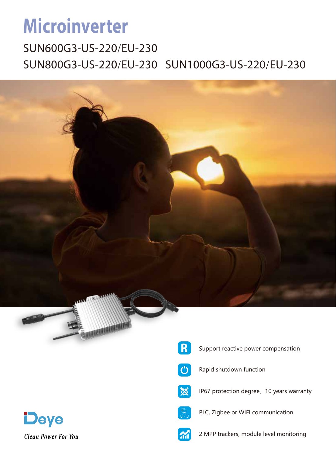## **Microinverter**

SUN600G3-US-220/EU-230 SUN800G3-US-220/EU-230 SUN1000G3-US-220/EU-230



Clean Power For You